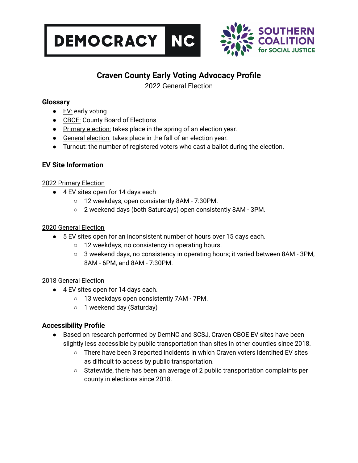



# **Craven County Early Voting Advocacy Profile**

2022 General Election

### **Glossary**

- EV: early voting
- CBOE: County Board of Elections
- Primary election: takes place in the spring of an election year.
- General election: takes place in the fall of an election year.
- Turnout: the number of registered voters who cast a ballot during the election.

## **EV Site Information**

### 2022 Primary Election

- 4 EV sites open for 14 days each
	- 12 weekdays, open consistently 8AM 7:30PM.
	- 2 weekend days (both Saturdays) open consistently 8AM 3PM.

### 2020 General Election

- 5 EV sites open for an inconsistent number of hours over 15 days each.
	- 12 weekdays, no consistency in operating hours.
	- 3 weekend days, no consistency in operating hours; it varied between 8AM 3PM, 8AM - 6PM, and 8AM - 7:30PM.

### 2018 General Election

- 4 EV sites open for 14 days each.
	- 13 weekdays open consistently 7AM 7PM.
	- 1 weekend day (Saturday)

# **Accessibility Profile**

- Based on research performed by DemNC and SCSJ, Craven CBOE EV sites have been slightly less accessible by public transportation than sites in other counties since 2018.
	- There have been 3 reported incidents in which Craven voters identified EV sites as difficult to access by public transportation.
	- Statewide, there has been an average of 2 public transportation complaints per county in elections since 2018.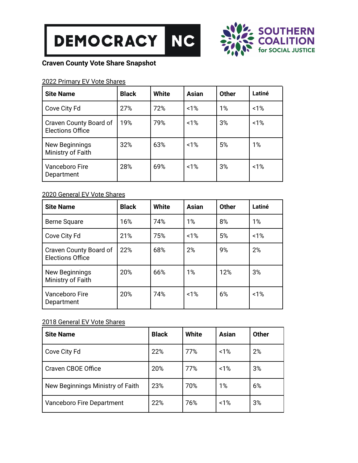



## **Craven County Vote Share Snapshot**

### 2022 Primary EV Vote Shares

| <b>Site Name</b>                                  | <b>Black</b> | <b>White</b> | Asian | <b>Other</b> | Latiné |
|---------------------------------------------------|--------------|--------------|-------|--------------|--------|
| Cove City Fd                                      | 27%          | 72%          | 1%    | 1%           | 1%     |
| Craven County Board of<br><b>Elections Office</b> | 19%          | 79%          | 1%    | 3%           | 1%     |
| New Beginnings<br>Ministry of Faith               | 32%          | 63%          | 1%    | 5%           | 1%     |
| Vanceboro Fire<br>Department                      | 28%          | 69%          | 1%    | 3%           | 1%     |

### 2020 General EV Vote Shares

| <b>Site Name</b>                                  | <b>Black</b> | <b>White</b> | <b>Asian</b> | <b>Other</b> | Latiné |
|---------------------------------------------------|--------------|--------------|--------------|--------------|--------|
| <b>Berne Square</b>                               | 16%          | 74%          | 1%           | 8%           | 1%     |
| Cove City Fd                                      | 21%          | 75%          | 1%           | 5%           | 1%     |
| Craven County Board of<br><b>Elections Office</b> | 22%          | 68%          | 2%           | 9%           | 2%     |
| New Beginnings<br>Ministry of Faith               | 20%          | 66%          | 1%           | 12%          | 3%     |
| Vanceboro Fire<br>Department                      | 20%          | 74%          | 1%           | 6%           | 1%     |

#### 2018 General EV Vote Shares

| <b>Site Name</b>                 | <b>Black</b> | <b>White</b> | <b>Asian</b> | <b>Other</b> |
|----------------------------------|--------------|--------------|--------------|--------------|
| Cove City Fd                     | 22%          | 77%          | 1%           | 2%           |
| Craven CBOE Office               | 20%          | 77%          | 1%           | 3%           |
| New Beginnings Ministry of Faith | 23%          | 70%          | 1%           | 6%           |
| Vanceboro Fire Department        | 22%          | 76%          | 1%           | 3%           |